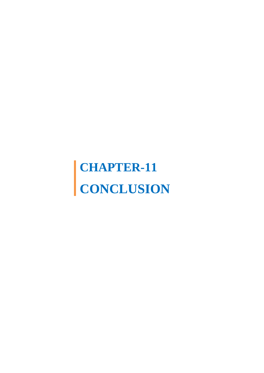## **CHAPTER-11 CONCLUSION**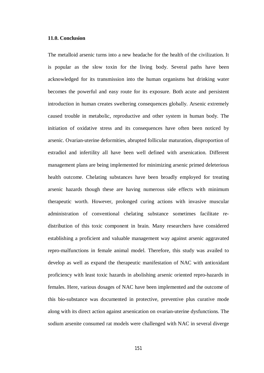## **11.0. Conclusion**

The metalloid arsenic turns into a new headache for the health of the civilization. It is popular as the slow toxin for the living body. Several paths have been acknowledged for its transmission into the human organisms but drinking water becomes the powerful and easy route for its exposure. Both acute and persistent introduction in human creates sweltering consequences globally. Arsenic extremely caused trouble in metabolic, reproductive and other system in human body. The initiation of oxidative stress and its consequences have often been noticed by arsenic. Ovarian-uterine deformities, abrupted follicular maturation, disproportion of estradiol and infertility all have been well defined with arsenication. Different management plans are being implemented for minimizing arsenic primed deleterious health outcome. Chelating substances have been broadly employed for treating arsenic hazards though these are having numerous side effects with minimum therapeutic worth. However, prolonged curing actions with invasive muscular administration of conventional chelating substance sometimes facilitate redistribution of this toxic component in brain. Many researchers have considered establishing a proficient and valuable management way against arsenic aggravated repro-malfunctions in female animal model. Therefore, this study was availed to develop as well as expand the therapeutic manifestation of NAC with antioxidant proficiency with least toxic hazards in abolishing arsenic oriented repro-hazards in females. Here, various dosages of NAC have been implemented and the outcome of this bio-substance was documented in protective, preventive plus curative mode along with its direct action against arsenication on ovarian-uterine dysfunctions. The sodium arsenite consumed rat models were challenged with NAC in several diverge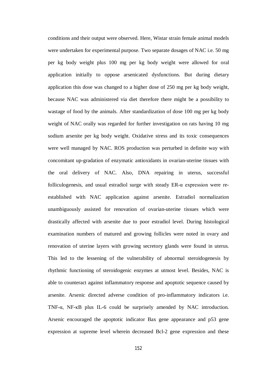conditions and their output were observed. Here, Wistar strain female animal models were undertaken for experimental purpose. Two separate dosages of NAC i.e. 50 mg per kg body weight plus 100 mg per kg body weight were allowed for oral application initially to oppose arsenicated dysfunctions. But during dietary application this dose was changed to a higher dose of 250 mg per kg body weight, because NAC was administered via diet therefore there might be a possibility to wastage of food by the animals. After standardization of dose 100 mg per kg body weight of NAC orally was regarded for further investigation on rats having 10 mg sodium arsenite per kg body weight. Oxidative stress and its toxic consequences were well managed by NAC. ROS production was perturbed in definite way with concomitant up-gradation of enzymatic antioxidants in ovarian-uterine tissues with the oral delivery of NAC. Also, DNA repairing in uterus, successful folliculogenesis, and usual estradiol surge with steady ER-α expression were reestablished with NAC application against arsenite. Estradiol normalization unambiguously assisted for renovation of ovarian-uterine tissues which were drastically affected with arsenite due to poor estradiol level. During histological examination numbers of matured and growing follicles were noted in ovary and renovation of uterine layers with growing secretory glands were found in uterus. This led to the lessening of the vulnerability of abnormal steroidogenesis by rhythmic functioning of steroidogenic enzymes at utmost level. Besides, NAC is able to counteract against inflammatory response and apoptotic sequence caused by arsenite. Arsenic directed adverse condition of pro-inflammatory indicators i.e. TNF-α, NF-κB plus IL-6 could be surprisely amended by NAC introduction. Arsenic encouraged the apoptotic indicator Bax gene appearance and p53 gene expression at supreme level wherein decreased Bcl-2 gene expression and these